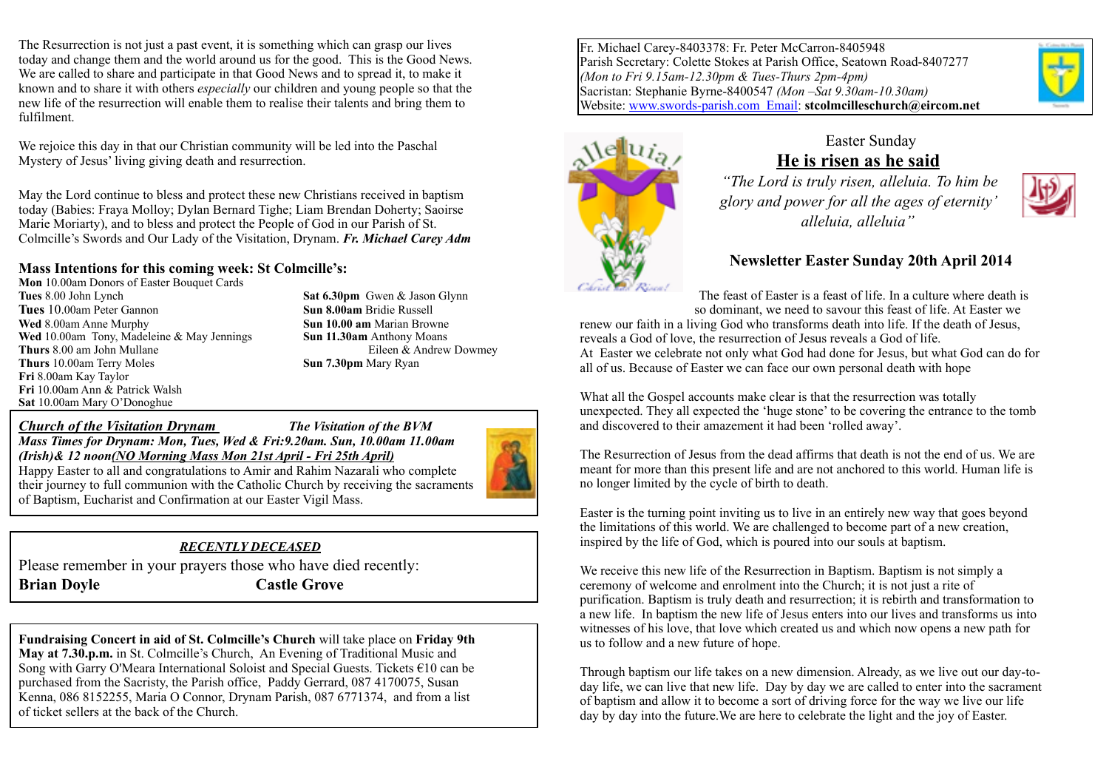The Resurrection is not just a past event, it is something which can grasp our lives today and change them and the world around us for the good. This is the Good News. We are called to share and participate in that Good News and to spread it, to make it known and to share it with others *especially* our children and young people so that the new life of the resurrection will enable them to realise their talents and bring them to fulfilment.

We rejoice this day in that our Christian community will be led into the Paschal Mystery of Jesus' living giving death and resurrection.

May the Lord continue to bless and protect these new Christians received in baptism today (Babies: Fraya Molloy; Dylan Bernard Tighe; Liam Brendan Doherty; Saoirse Marie Moriarty), and to bless and protect the People of God in our Parish of St. Colmcille's Swords and Our Lady of the Visitation, Drynam. *Fr. Michael Carey Adm*

#### **Mass Intentions for this coming week: St Colmcille's:**

**Mon** 10.00am Donors of Easter Bouquet Cards **Tues** 8.00 John Lynch **Sat 6.30pm** Gwen & Jason Glynn **Tues** 10.00am Peter Gannon **Sun 8.00am** Bridie Russell **Wed** 8.00am Anne Murphy **Sun 10.00 am** Marian Browne **Wed** 10.00am Tony, Madeleine & May Jennings **Sun 11.30am** Anthony Moans **Thurs** 8.00 am John Mullane **Eileen & Andrew Dowmey Thurs** 10.00am Terry Moles **Sun 7.30pm** Mary Ryan **Fri** 8.00am Kay Taylor **Fri** 10.00am Ann & Patrick Walsh **Sat** 10.00am Mary O'Donoghue

*Church of the Visitation Drynam The Visitation of the BVM Mass Times for Drynam: Mon, Tues, Wed & Fri:9.20am. Sun, 10.00am 11.00am (Irish)& 12 noon(NO Morning Mass Mon 21st April - Fri 25th April)*  Happy Easter to all and congratulations to Amir and Rahim Nazarali who complete

of Baptism, Eucharist and Confirmation at our Easter Vigil Mass.



#### *RECENTLY DECEASED*

Please remember in your prayers those who have died recently: **Brian Doyle Castle Grove** 

**Fundraising Concert in aid of St. Colmcille's Church** will take place on **Friday 9th May at 7.30.p.m.** in St. Colmcille's Church, An Evening of Traditional Music and Song with Garry O'Meara International Soloist and Special Guests. Tickets €10 can be purchased from the Sacristy, the Parish office, Paddy Gerrard, 087 4170075, Susan Kenna, 086 8152255, Maria O Connor, Drynam Parish, 087 6771374, and from a list of ticket sellers at the back of the Church.

Fr. Michael Carey-8403378: Fr. Peter McCarron-8405948 Parish Secretary: Colette Stokes at Parish Office, Seatown Road-8407277 *(Mon to Fri 9.15am-12.30pm & Tues-Thurs 2pm-4pm)* Sacristan: Stephanie Byrne-8400547 *(Mon –Sat 9.30am-10.30am)* Website: [www.swords-parish.com Email:](http://www.swords-parish.com%20%20email) **stcolmcilleschurch@eircom.net**





#### Easter Sunday **He is risen as he said**

 *"The Lord is truly risen, alleluia. To him be glory and power for all the ages of eternity' alleluia, alleluia"* 



The feast of Easter is a feast of life. In a culture where death is so dominant, we need to savour this feast of life. At Easter we renew our faith in a living God who transforms death into life. If the death of Jesus, reveals a God of love, the resurrection of Jesus reveals a God of life. At Easter we celebrate not only what God had done for Jesus, but what God can do for all of us. Because of Easter we can face our own personal death with hope

What all the Gospel accounts make clear is that the resurrection was totally unexpected. They all expected the 'huge stone' to be covering the entrance to the tomb and discovered to their amazement it had been 'rolled away'.

The Resurrection of Jesus from the dead affirms that death is not the end of us. We are meant for more than this present life and are not anchored to this world. Human life is no longer limited by the cycle of birth to death.

Easter is the turning point inviting us to live in an entirely new way that goes beyond the limitations of this world. We are challenged to become part of a new creation, inspired by the life of God, which is poured into our souls at baptism.

We receive this new life of the Resurrection in Baptism. Baptism is not simply a ceremony of welcome and enrolment into the Church; it is not just a rite of purification. Baptism is truly death and resurrection; it is rebirth and transformation to a new life. In baptism the new life of Jesus enters into our lives and transforms us into witnesses of his love, that love which created us and which now opens a new path for us to follow and a new future of hope.

Through baptism our life takes on a new dimension. Already, as we live out our day-today life, we can live that new life. Day by day we are called to enter into the sacrament of baptism and allow it to become a sort of driving force for the way we live our life day by day into the future.We are here to celebrate the light and the joy of Easter.